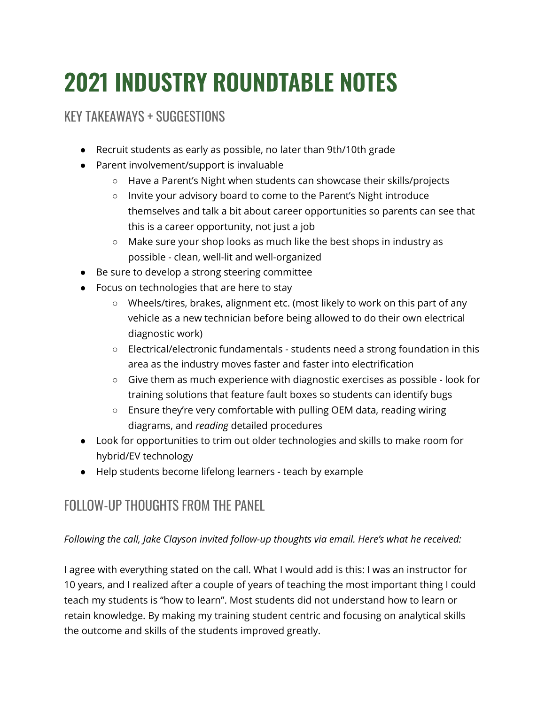## **2021 INDUSTRY ROUNDTABLE NOTES**

## KEY TAKEAWAYS + SUGGESTIONS

- Recruit students as early as possible, no later than 9th/10th grade
- Parent involvement/support is invaluable
	- Have a Parent's Night when students can showcase their skills/projects
	- Invite your advisory board to come to the Parent's Night introduce themselves and talk a bit about career opportunities so parents can see that this is a career opportunity, not just a job
	- Make sure your shop looks as much like the best shops in industry as possible - clean, well-lit and well-organized
- Be sure to develop a strong steering committee
- Focus on technologies that are here to stay
	- Wheels/tires, brakes, alignment etc. (most likely to work on this part of any vehicle as a new technician before being allowed to do their own electrical diagnostic work)
	- Electrical/electronic fundamentals students need a strong foundation in this area as the industry moves faster and faster into electrification
	- Give them as much experience with diagnostic exercises as possible look for training solutions that feature fault boxes so students can identify bugs
	- Ensure they're very comfortable with pulling OEM data, reading wiring diagrams, and *reading* detailed procedures
- Look for opportunities to trim out older technologies and skills to make room for hybrid/EV technology
- Help students become lifelong learners teach by example

## FOLLOW-UP THOUGHTS FROM THE PANEL

## *Following the call, Jake Clayson invited follow-up thoughts via email. Here's what he received:*

I agree with everything stated on the call. What I would add is this: I was an instructor for 10 years, and I realized after a couple of years of teaching the most important thing I could teach my students is "how to learn". Most students did not understand how to learn or retain knowledge. By making my training student centric and focusing on analytical skills the outcome and skills of the students improved greatly.